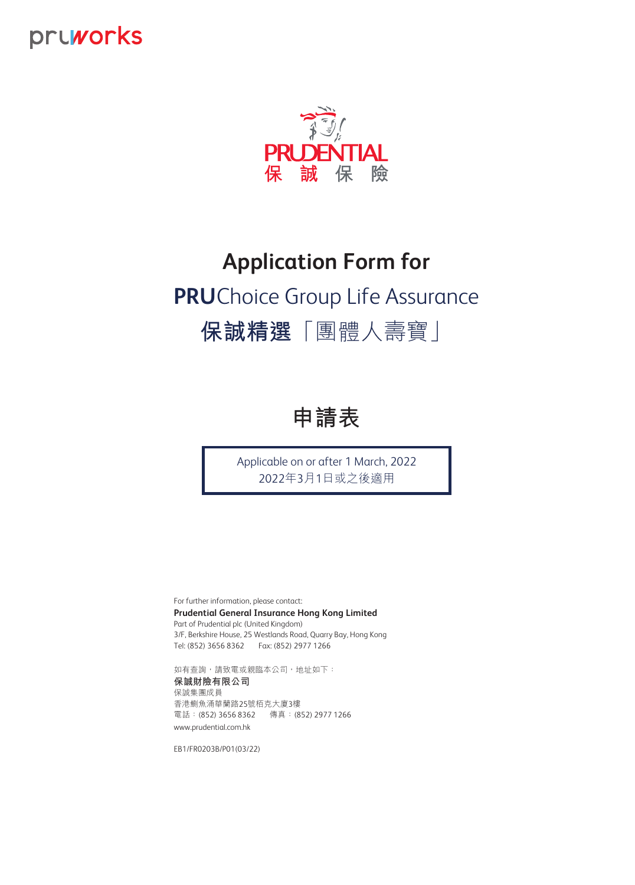# pruworks



# **Application Form for PRU** Choice Group Life Assurance  **保誠精選**「團體人壽寶」



Applicable on or after 1 March, 2022 2022年3月1日或之後適用

For further information, please contact: **Prudential General Insurance Hong Kong Limited** Part of Prudential plc (United Kingdom) 3/F, Berkshire House, 25 Westlands Road, Quarry Bay, Hong Kong Tel: (852) 3656 8362 Fax: (852) 2977 1266

www.prudential.com.hk 如有查詢,請致電或親臨本公司,地址如下: **保誠財險有限公司** 保誠集團成員 香港鰂魚涌華蘭路25號栢克大廈3樓 電話:(852) 3656 8362 傳真:(852) 2977 1266

EB1/FR0203B/P01(03/22)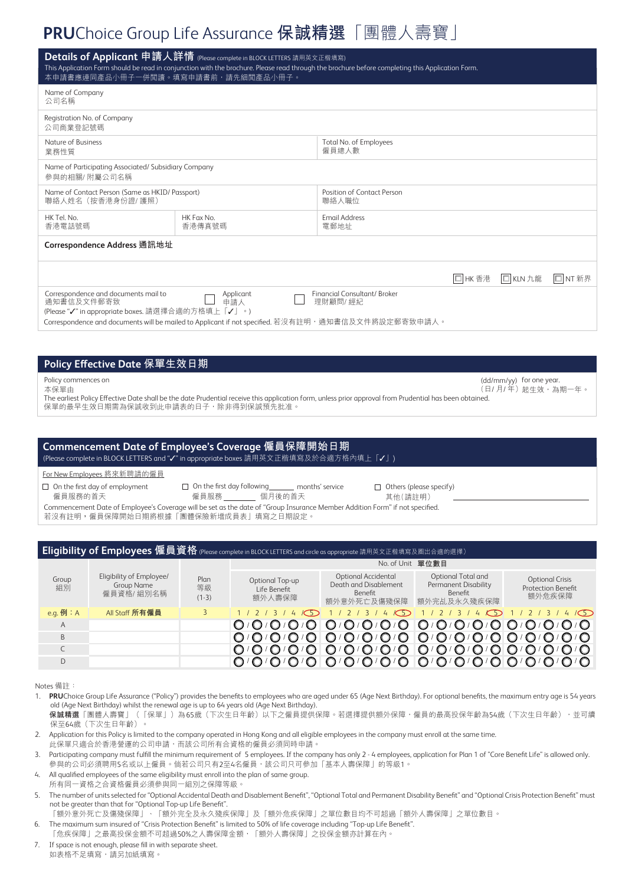# **PRU** Choice Group Life Assurance **保誠精選**「團體人壽寶」

| <b>Details of Applicant 申請人詳情 (Please complete in BLOCK LETTERS 請用英文正楷填寫)</b><br>This Application Form should be read in conjunction with the brochure. Please read through the brochure before completing this Application Form.<br>本申請書應連同產品小冊子一併閲讀。填寫申請書前,請先細閲產品小冊子。 |                      |                                     |         |          |              |  |  |  |  |
|-------------------------------------------------------------------------------------------------------------------------------------------------------------------------------------------------------------------------------------------------------------------------|----------------------|-------------------------------------|---------|----------|--------------|--|--|--|--|
| Name of Company<br>公司名稱                                                                                                                                                                                                                                                 |                      |                                     |         |          |              |  |  |  |  |
| Registration No. of Company<br>公司商業登記號碼                                                                                                                                                                                                                                 |                      |                                     |         |          |              |  |  |  |  |
| Nature of Business<br>業務性質                                                                                                                                                                                                                                              |                      | Total No. of Employees<br>僱員總人數     |         |          |              |  |  |  |  |
| Name of Participating Associated/Subsidiary Company<br>參與的相關/附屬公司名稱                                                                                                                                                                                                     |                      |                                     |         |          |              |  |  |  |  |
| Name of Contact Person (Same as HKID/ Passport)<br>聯絡人姓名 (按香港身份證/護照)                                                                                                                                                                                                    |                      | Position of Contact Person<br>聯絡人職位 |         |          |              |  |  |  |  |
| HK Tel. No.<br>香港電話號碼                                                                                                                                                                                                                                                   | HK Fax No.<br>香港傳真號碼 | <b>Fmail Address</b><br>電郵地址        |         |          |              |  |  |  |  |
| Correspondence Address 通訊地址                                                                                                                                                                                                                                             |                      |                                     |         |          |              |  |  |  |  |
|                                                                                                                                                                                                                                                                         |                      |                                     | □ HK 香港 | □ KLN 九龍 | $\Box$ NT 新界 |  |  |  |  |
| Correspondence and documents mail to<br>通知書信及文件郵寄致<br>(Please "√" in appropriate boxes. 請選擇合適的方格填上「√」。)<br>Correspondence and documents will be mailed to Applicant if not specified. 若沒有註明,通知書信及文件將設定郵寄致申請人。                                                           |                      |                                     |         |          |              |  |  |  |  |
|                                                                                                                                                                                                                                                                         |                      |                                     |         |          |              |  |  |  |  |

## **Policy Effective Date 保單生效日期**

Policy commences on

本保單由

(日/ 月/ 年 ) 起生效,為期一年。 The earliest Policy Effective Date shall be the date Prudential receive this application form, unless prior approval from Prudential has been obtained. 保單的最早生效日期需為保誠收到此申請表的日子,除非得到保誠預先批准。

# **Commencement Date of Employee's Coverage 僱員保障開始日期**

(Please complete in BLOCK LETTERS and "✓" in appropriate boxes 請用英文正楷填寫及於合適方格內填上「✓」)

#### For New Employees 將來新聘請的僱員

 $\Box$  On the first day of employment 僱員服務的首天

□ On the first day following \_\_\_\_\_\_ months' service<br>僱員服務 \_\_\_\_\_\_\_\_ 個月後的首天 \_<br>\_ 個月後的首天

 $\Box$  Others (please specify) 其他(請註明)

(dd/mm/yy) for one year.

Commencement Date of Employee's Coverage will be set as the date of "Group Insurance Member Addition Form" if not specified. 若沒有註明,僱員保障開始日期將根據「團體保險新增成員表」填寫之日期設定。

| <b>Eligibility of Employees 僱員資格</b> (Please complete in BLOCK LETTERS and circle as appropriate 請用英文正楷填寫及圈出合適的選擇) |                                                     |                       |                                           |                                                                        |                                                                             |                                                               |  |  |  |  |
|--------------------------------------------------------------------------------------------------------------------|-----------------------------------------------------|-----------------------|-------------------------------------------|------------------------------------------------------------------------|-----------------------------------------------------------------------------|---------------------------------------------------------------|--|--|--|--|
|                                                                                                                    |                                                     |                       | No. of Unit 單位數目                          |                                                                        |                                                                             |                                                               |  |  |  |  |
| Group<br>組別                                                                                                        | Eligibility of Employee/<br>Group Name<br>僱員資格/組別名稱 | Plan<br>等級<br>$(1-3)$ | Optional Top-up<br>Life Benefit<br>額外人壽保障 | Optional Accidental<br>Death and Disablement<br>Benefit<br>額外意外死亡及傷殘保障 | Optional Total and<br>Permanent Disability<br><b>Benefit</b><br>額外完乩及永久殘疾保障 | <b>Optional Crisis</b><br><b>Protection Benefit</b><br>額外危疾保障 |  |  |  |  |
| e.q. $opli$ : A                                                                                                    | All Staff 所有僱員                                      |                       |                                           | $\sqrt{5}$<br>4                                                        | 4<5                                                                         | 415                                                           |  |  |  |  |
| A                                                                                                                  |                                                     |                       |                                           | $O / O / O / O / O / O$                                                |                                                                             |                                                               |  |  |  |  |
| <sub>B</sub>                                                                                                       |                                                     |                       |                                           |                                                                        |                                                                             |                                                               |  |  |  |  |
|                                                                                                                    |                                                     |                       |                                           |                                                                        |                                                                             |                                                               |  |  |  |  |
| D                                                                                                                  |                                                     |                       |                                           |                                                                        |                                                                             |                                                               |  |  |  |  |

Notes 備註:

1. **PRU**Choice Group Life Assurance ("Policy") provides the benefits to employees who are aged under 65 (Age Next Birthday). For optional benefits, the maximum entry age is 54 years old (Age Next Birthday) whilst the renewal age is up to 64 years old (Age Next Birthday).

- **保誠精選**「團體人壽寶」(「保單」)為65歲(下次生日年齡)以下之僱員提供保障。若選擇提供額外保障,僱員的最高投保年齡為54歲(下次生日年齡),並可續 保至64歲(下次生日年齡)。
- 2. Application for this Policy is limited to the company operated in Hong Kong and all eligible employees in the company must enroll at the same time.

此保單只適合於香港營運的公司申請,而該公司所有合資格的僱員必須同時申請。

3. Participating company must fulfill the minimum requirement of 5 employees. If the company has only 2 - 4 employees, application for Plan 1 of "Core Benefit Life" is allowed only. 參與的公司必須聘用5名或以上僱員。倘若公司只有2至4名僱員,該公司只可參加「基本人壽保障」的等級1。

- 4. All qualified employees of the same eligibility must enroll into the plan of same group.
- 所有同一資格之合資格僱員必須參與同一組別之保障等級
- 5. The number of units selected for "Optional Accidental Death and Disablement Benefit", "Optional Total and Permanent Disability Benefit" and "Optional Crisis Protection Benefit" must not be greater than that for "Optional Top-up Life Benefit".

「額外意外死亡及傷殘保障」、「額外完全及永久殘疾保障」及「額外危疾保障」之單位數目均不可超過「額外人壽保障」之單位數目。

6. The maximum sum insured of "Crisis Protection Benefit" is limited to 50% of life coverage including "Top-up Life Benefit". 「危疾保障」之最高投保金額不可超過50%之人壽保障金額,「額外人壽保障」之投保金額亦計算在內。

7. If space is not enough, please fill in with separate sheet.

如表格不足填寫,請另加紙填寫。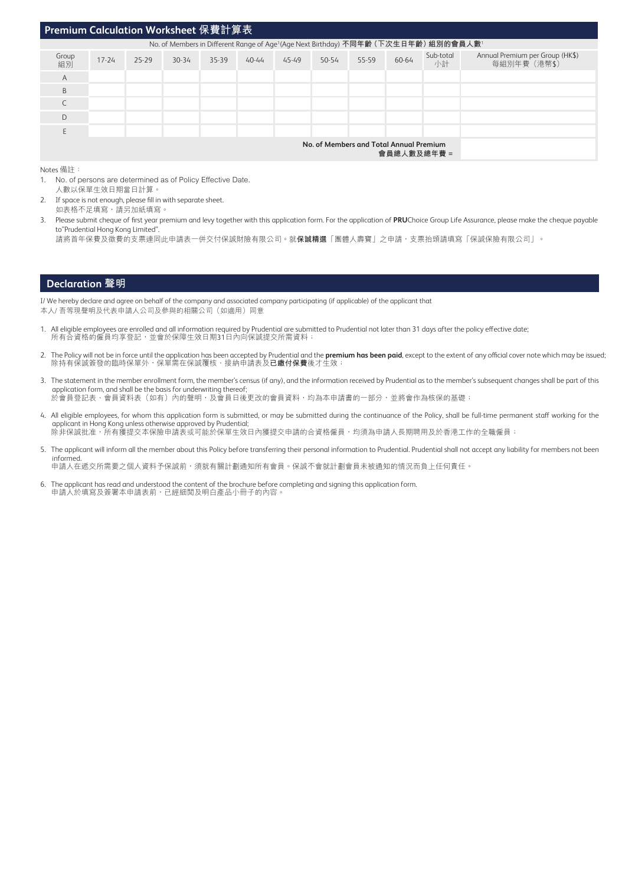### **Premium Calculation Worksheet 保費計算表**

| No. of Members in Different Range of Age <sup>1</sup> (Age Next Birthday) 不同年齡 (下次生日年齡) 組別的會員人數 <sup>1</sup> |           |       |           |       |       |       |       |       |       |                 |                                                 |  |  |
|--------------------------------------------------------------------------------------------------------------|-----------|-------|-----------|-------|-------|-------|-------|-------|-------|-----------------|-------------------------------------------------|--|--|
| Group<br>組別                                                                                                  | $17 - 24$ | 25-29 | $30 - 34$ | 35-39 | 40-44 | 45-49 | 50-54 | 55-59 | 60-64 | Sub-total<br>小計 | Annual Premium per Group (HK\$)<br>每組別年費 (港幣\$) |  |  |
| A                                                                                                            |           |       |           |       |       |       |       |       |       |                 |                                                 |  |  |
| B                                                                                                            |           |       |           |       |       |       |       |       |       |                 |                                                 |  |  |
| $\sqrt{2}$                                                                                                   |           |       |           |       |       |       |       |       |       |                 |                                                 |  |  |
| D                                                                                                            |           |       |           |       |       |       |       |       |       |                 |                                                 |  |  |
| F                                                                                                            |           |       |           |       |       |       |       |       |       |                 |                                                 |  |  |
| No. of Members and Total Annual Premium<br>會員總人數及總年費=                                                        |           |       |           |       |       |       |       |       |       |                 |                                                 |  |  |

Notes 備註:

- 1. No. of persons are determined as of Policy Effective Date. 人數以保單生效日期當日計算。
- 2. If space is not enough, please fill in with separate sheet.
- 如表格不足填寫,請另加紙填寫。 3. Please submit cheque of first year premium and levy together with this application form. For the application of **PRU**Choice Group Life Assurance, please make the cheque payable to"Prudential Hong Kong Limited".
	- 請將首年保費及徵費的支票連同此申請表一併交付保誠財險有限公司。就**保誠精選**「團體人壽寶」之申請,支票抬頭請填寫「保誠保險有限公司」。

#### **Declaration 聲明**

I/ We hereby declare and agree on behalf of the company and associated company participating (if applicable) of the applicant that 本人/ 吾等現聲明及代表申請人公司及參與的相關公司(如適用)同意

- 1. All eligible employees are enrolled and all information required by Prudential are submitted to Prudential not later than 31 days after the policy effective date; 所有合資格的僱員均享登記,並會於保障生效日期31日內向保誠提交所需資料;
- 2. The Policy will not be in force until the application has been accepted by Prudential and the **premium has been paid**, except to the extent of any official cover note which may be issued; 除持有保誠簽發的臨時保單外,保單需在保誠覆核、接納申請表及**已繳付保費**後才生效;
- 3. The statement in the member enrollment form, the member's census (if any), and the information received by Prudential as to the member's subsequent changes shall be part of this application form, and shall be the basis for underwriting thereof; 於會員登記表、會員資料表(如有)內的聲明,及會員日後更改的會員資料,均為本申請書的一部分,並將會作為核保的基礎;
- 4. All eligible employees, for whom this application form is submitted, or may be submitted during the continuance of the Policy, shall be full-time permanent staff working for the applicant in Hong Kong unless otherwise approved by Prudential; 除非保誠批准,所有獲提交本保險申請表或可能於保單生效日內獲提交申請的合資格僱員,均須為申請人長期聘用及於香港工作的全職僱員;
- 5. The applicant will inform all the member about this Policy before transferring their personal information to Prudential. Prudential shall not accept any liability for members not been informed. 申請人在遞交所需要之個人資料予保誠前,須就有關計劃通知所有會員。保誠不會就計劃會員未被通知的情況而負上任何責任。
- 6. The applicant has read and understood the content of the brochure before completing and signing this application form. 申請人於填寫及簽署本申請表前,已經細閱及明白產品小冊子的內容。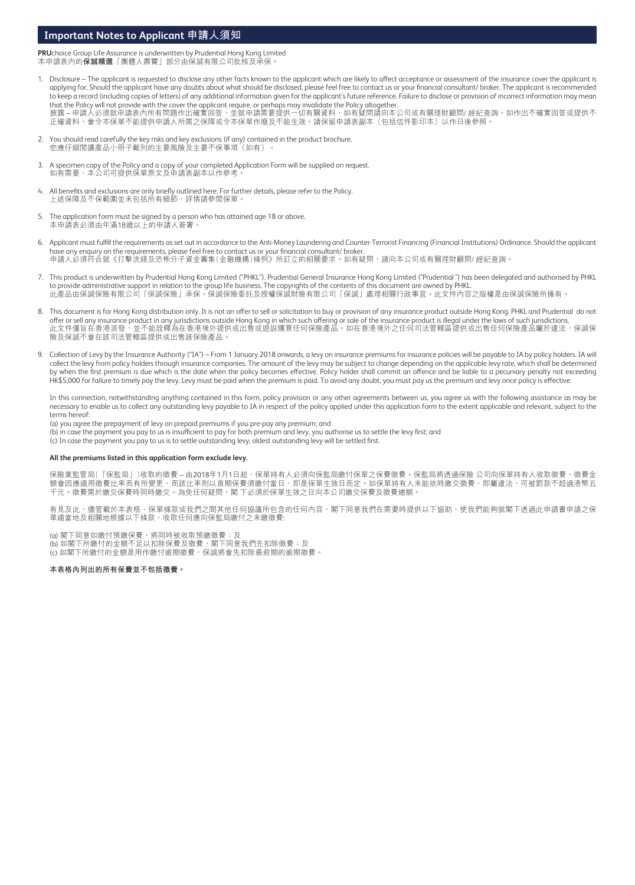## **Important Notes to Applicant 申請人須知**

**PRU**choice Group Life Assurance is underwritten by Prudential Hong Kong Limited 本申請表內的**保誠精選**「團體人壽寶」部分由保誠有限公司批核及承保。

- 1. Disclosure The applicant is requested to disclose any other facts known to the applicant which are likely to affect acceptance or assessment of the insurance cover the applicant is applying for. Should the applicant have any doubts about what should be disclosed, please feel free to contact us or your financial consultant/ broker. The applicant is recommended to keep a record (including copies of letters) of any additional information given for the applicant's future reference. Failure to disclose or provision of incorrect information may mean that the Policy will not provide with the cover the applicant require, or perhaps may invalidate the Policy altogether. 披露 – 甲請人必須就申請表內所有問題作出確實回答,並就申請需要提供一切有關資料,如有疑問請向本公司或有關埋財顧問/ 經紀查詢。如作出个確實回答或提供个 止確資料,會令本保單个能提供申請人所需之保障或令本保單作廢及个能生效。請保留申請表副本(包拈信件影印本)以作日後參照。
- 2. You should read carefully the key risks and key exclusions (if any) contained in the product brochure. 您應仔細閲讀產品小冊子載列的主要風險及主要不保事項(如有)。
- 3. A specimen copy of the Policy and a copy of your completed Application Form will be supplied on request. 如有需要,本公司可提供保單原文及申請表副本以作參考
- 4. All benefits and exclusions are only briefly outlined here. For further details, please refer to the Policy. 上述保障及不保範圍並未包括所有細節,詳情請參閱保單
- 5. The application form must be signed by a person who has attained age 18 or above. 本申請表必須由年滿18歲以上的申請人簽署。
- 6. Applicant must fulfill the requirements as set out in accordance to the Anti-Money Laundering and Counter-Terrorist Financing (Financial Institutions) Ordinance. Should the applicant have any enquiry on the requirements, please feel free to contact us or your financial consultant/ broker. 甲請人必須符合就《打擊洗錢及恐怖分子資金籌集(金融機構)條例》所訂立的相關要求。如有疑問,請向本公司或有關埋財顧問/ 經紀查詞。
- 7. This product is underwritten by Prudential Hong Kong Limited ("PHKL"). Prudential General Insurance Hong Kong Limited ("Prudential ") has been delegated and authorised by PHKL to provide administrative support in relation to the group life business. The copyrights of the contents of this document are owned by PHKL. 此產品由保誠保險有限公司「保誠保險」承保。保誠保險委託及授權保誠財險有限公司「保誠」處理相關行政事宜。此文件內容之版權是由保誠保險所擁有。
- 8. This document is for Hong Kong distribution only. It is not an offer to sell or solicitation to buy or provision of any insurance product outside Hong Kong. PHKL and Prudential do not offer or sell any insurance product in any jurisdictions outside Hong Kong in which such offering or sale of the insurance product is illegal under the laws of such jurisdictions. 此文件僅旨在香港派發,並个能詮釋為在香港境外提供或出售或遊説購賞任何保險產品。如在香港境外之任何司法管轄區提供或出售任何保險產品屬於違法,保誠保 險及保誠不會在該司法管轄區提供或出售該保險產品。
- 9. Collection of Levy by the Insurance Authority ("IA") From 1 January 2018 onwards, a levy on insurance premiums for insurance policies will be payable to IA by policy holders. IA will collect the levy from policy holders through insurance companies. The amount of the levy may be subject to change depending on the applicable levy rate, which shall be determined by when the first premium is due which is the date when the policy becomes effective. Policy holder shall commit an offence and be liable to a pecuniary penalty not exceeding HK\$5,000 for failure to timely pay the levy. Levy must be paid when the premium is paid. To avoid any doubt, you must pay us the premium and levy once policy is effective.

In this connection, notwithstanding anything contained in this form, policy provision or any other agreements between us, you agree us with the following assistance as may be necessary to enable us to collect any outstanding levy payable to IA in respect of the policy applied under this application form to the extent applicable and relevant, subject to the terms hereof:

- (a) you agree the prepayment of levy on prepaid premiums if you pre-pay any premium; and
- (b) in case the payment you pay to us is insufficient to pay for both premium and levy, you authorise us to settle the levy first; and
- (c) In case the payment you pay to us is to settle outstanding levy, oldest outstanding levy will be settled first.

#### **All the premiums listed in this application form exclude levy.**

保險業監管局(「保監局」)收取的徵費 – 由2018年1月1日起,保單持有人必須向保監局繳付保單之保費徵費。保監局將透過保險 公司向保單持有人收取徵費,徵費金 額會因應適用徵費比率而有所變更,而該比率則以首期保費須繳付當日,即是保單生效日而定。如保單持有人未能依時繳交徵費,即屬違法,可被罰款不超過港幣五 千元。徵費需於繳交保費時同時繳交。為免任何疑問,閣 下必須於保單生效之日向本公司繳交保費及徵費總額。

有見及此,儘管載於本表格、保單條款或我們之間其他任何協議所包含的任何內容,閣下同意我們在需要時提供以下協助,使我們能夠就閣下透過此申請書申請之保 單適當地及相關地根據以下條款,收取任何應向保監局繳付之未繳徵費:

(a) 閣下同意如繳付預繳保費,將同時被收取預繳徵費; 及 (b) 如閣下所繳付的金額不足以扣除保費及徵費,閣下同意我們先扣除徵費;及 (c) 如閣下所繳付的金額是用作繳付逾期徵費,保誠將會先扣除最前期的逾期徵費。

#### **本表格內列出的所有保費並不包括徵費。**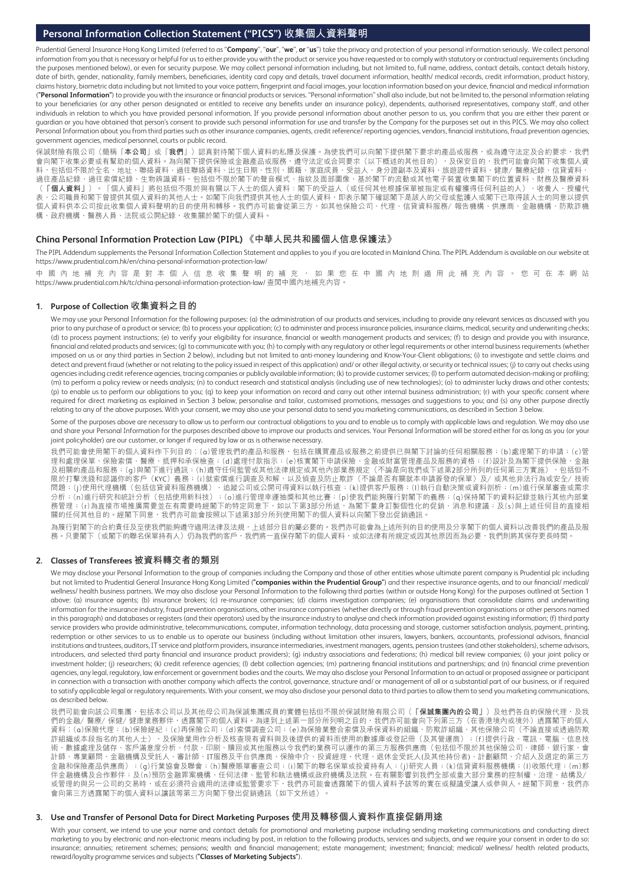### **Personal Information Collection Statement ("PICS") 收集個人資料聲明**

Prudential General Insurance Hong Kong Limited (referred to as "**Company**", "**our**", "**we**", **or** "**us**") take the privacy and protection of your personal information seriously. We collect personal information from you that is necessary or helpful for us to either provide you with the product or service you have requested or to comply with statutory or contractual requirements (including the purposes mentioned below), or even for security purpose. We may collect personal information including, but not limited to, full name, address, contact details, contact details history, date of birth, gender, nationality, family members, beneficiaries, identity card copy and details, travel document information, health/ medical records, credit information, product history, claims history, biometric data including but not limited to your voice pattern, fingerprint and facial images, your location information based on your device, financial and medical information (**"Personal Information"**) to provide you with the insurance or financial products or services. "Personal information" shall also include, but not be limited to, the personal information relating to your beneficiaries (or any other person designated or entitled to receive any benefits under an insurance policy), dependents, authorised representatives, company staff, and other individuals in relation to which you have provided personal information. If you provide personal information about another person to us, you confirm that you are either their parent or guardian or you have obtained that person's consent to provide such personal information for use and transfer by the Company for the purposes set out in this PICS. We may also collect Personal Information about you from third parties such as other insurance companies, agents, credit reference/ reporting agencies, vendors, financial institutions, fraud prevention agencies, government agencies, medical personnel, courts or public record.

保誠財險有限公司(簡稱「本公司」或「我們」)認真對待閣下個人資料的私隱及保護。為使我們可以向閣下提供閣下要求的產品或服務,或為遵守法定及合約要求,我們 會向閣下收集必要或有幫助的個人資料。為向閣下提供保險或金融產品或服務,遵守法定或合同要求(以下概述的其他目的),及保安目的,我們可能會向閣下收集個人資 料,包括但不限於全名、地址、聯絡資料、過往聯絡資料、出生日期、性別、國籍、家庭成員、受益人、身分證副本及資料、旅遊證件資料、健康/醫療紀錄、信貸資料、 過往產品紀錄、過往索償紀錄、生物辨識資料,包括但不限於閣下的聲音模式、指紋及面部圖像、基於閣下的流動或其他電子裝置收集閣下的位置資料、財務及醫療資料<br>(**「個人資料」**)。「個人資料」將包括但不限於與有關以下人士的個人資料:閣下的受益人(或任何其他根據保單被指定或有權獲得任何利益的人)、收養人、授權代 。「個人資料」將包括但不限於與有關以下人士的個人資料:閣下的受益人(或任何其他根據保單被指定或有權獲得任何利益的人) 、公司職員和閣下曾提供其個人資料的其他人士。如閣下向我們提供其他人士的個人資料,即表示閣下確認閣下是該人的父母或監護人或閣下已取得該人士的同意以提供 個人資料供本公司按此收集個人資料聲明的目的使用和轉移。我們亦可能會從第三方,如其他保險公司、代理、信貸資料服務/報告機構、供應商、金融機構、防欺詐機 構、政府機構、醫務人員、法院或公開紀錄,收集關於閣下的個人資料。

#### **China Personal Information Protection Law (PIPL) 《中華人民共和國個人信息保護法》**

The PIPL Addendum supplements the Personal Information Collection Statement and applies to you if you are located in Mainland China. The PIPL Addendum is available on our website at https://www.prudential.com.hk/en/china-personal-information-protection-law/

中 國 內 地 補 充 內 容 是 對 本 個 人 信 息 收 集 聲 明 的 補 充 , 如 果 您 在 中 國 內 地 則 適 用 此 補 充 內 容 。 您 可 在 本 網 站 https://www.prudential.com.hk/tc/china-personal-information-protection-law/ 查閱中國內地補充內容。

#### **1. Purpose of Collection 收集資料之目的**

We may use your Personal Information for the following purposes: (a) the administration of our products and services, including to provide any relevant services as discussed with you prior to any purchase of a product or service; (b) to process your application; (c) to administer and process insurance policies, insurance claims, medical, security and underwriting checks; (d) to process payment instructions; (e) to verify your eligibility for insurance, financial or wealth management products and services; (f) to design and provide you with insurance, financial and related products and services; (g) to communicate with you; (h) to comply with any regulatory or other legal requirements or other internal business requirements (whether imposed on us or any third parties in Section 2 below), including but not limited to anti-money laundering and Know-Your-Client obligations; (i) to investigate and settle claims and detect and prevent fraud (whether or not relating to the policy issued in respect of this application) and/ or other illegal activity, or security or technical issues; (j) to carry out checks using agencies including credit reference agencies, tracing companies or publicly available information; (k) to provide customer services; (l) to perform automated decision-making or profiling; (m) to perform a policy review or needs analysis; (n) to conduct research and statistical analysis (including use of new technologies); (o) to administer lucky draws and other contests; (p) to enable us to perform our obligations to you; (q) to keep your information on record and carry out other internal business administration; (r) with your specific consent where required for direct marketing as explained in Section 3 below, personalise and tailor, customised promotions, messages and suggestions to you; and (s) any other purpose directly relating to any of the above purposes. With your consent, we may also use your personal data to send you marketing communications, as described in Section 3 below.

Some of the purposes above are necessary to allow us to perform our contractual obligations to you and to enable us to comply with applicable laws and regulation. We may also use and share your Personal Information for the purposes described above to improve our products and services. Your Personal Information will be stored either for as long as you (or your joint policyholder) are our customer, or longer if required by law or as is otherwise necessary.

我們可能會使用閣下的個人資料作下列目的︰(a)管理我們的產品和服務,包括在購買產品或服務之前提供已與閣下討論的任何相關服務;(b)處理閣下的申請;(c)管 理和處理保單、保險索償、醫療、抵押和承保檢查;(d)處理付款指示;(e)核實閣下申請保險、金融或財富管理產品及服務的資格;(f)設計及為閣下提供保險、金融 った。<br>及相關的產品和服務;(g)與閣下進行通訊:(h)遵守任何監管或其他法律規定或其他內部業務規定(不論是向我們或下述第2部分所列的任何第三方實施),包括但不 限於打擊洗錢和認識你的客戶(KYC)義務;(i)就索償進行調查及和解,以及偵查及防止欺詐(不論是否有關就本申請簽發的保單)及/或其他非法行為或安全/技術 問題:(j)使用代理機構(包括信貸資料服務機構)、追蹤公司或公開可得資料以執行核查;(k)提供客戶服務;(I)執行自動決策或資料剖析;(m)進行保單審查或需求 分析:(n)進行研究和統計分析(包括使用新科技);(o)進行管理幸運抽獎和其他比賽;(p)使我們能夠履行對閣下的義務;(q)保持閣下的資料記錄並執行其他內部業 %管理;(r)為直接市場推廣需要並在有需要時經閣下3,4%→1,2→1,2→1,2→1,3%→1,3%。下,4,5%,1,2,5%,1,2,5%,1,2,5%,1,2,5%,1,2,5%,1,2,5%<br>務管理;(r)為直接市場推廣需要並在有需要時經閣下的特定同意下,如以下第3部分所述,為閣下量身訂製個性化的促銷、消息和建議;及(s)與上述任何目的直接相 關的任何其他目的。經閣下同意,我們亦可能會按照以下述第3部分所列使用閣下的個人資料以向閣下發出促銷通訊。

 為履行對閣下的合約責任及至使我們能夠遵守適用法律及法規,上述部分目的屬必要的。我們亦可能會為上述所列的目的使用及分享閣下的個人資料以改善我們的產品及服 務。只要閣下(或閣下的聯名保單持有人)仍為我們的客戶,我們將一直保存閣下的個人資料,或如法律有所規定或因其他原因而為必要,我們則將其保存更長時間。

#### **2. Classes of Transferees 被資料轉交者的類別**

 We may disclose your Personal Information to the group of companies including the Company and those of other entities whose ultimate parent company is Prudential plc including but not limited to Prudential General Insurance Hong Kong Limited (**"companies within the Prudential Group"**) and their respective insurance agents, and to our financial/ medical/ wellness/ health business partners. We may also disclose your Personal Information to the following third parties (within or outside Hong Kong) for the purposes outlined at Section 1 above: (a) insurance agents; (b) insurance brokers; (c) re-insurance companies; (d) claims investigation companies; (e) organisations that consolidate claims and underwriting information for the insurance industry, fraud prevention organisations, other insurance companies (whether directly or through fraud prevention organisations or other persons named in this paragraph) and databases or registers (and their operators) used by the insurance industry to analyse and check information provided against existing information; (f) third party service providers who provide administrative, telecommunications, computer, information technology, data processing and storage, customer satisfaction analysis, payment, printing, redemption or other services to us to enable us to operate our business (including without limitation other insurers, lawyers, bankers, accountants, professional advisors, financial institutions and trustees, auditors, IT service and platform providers, insurance intermediaries, investment managers, agents, pension trustees (and other stakeholders), scheme advisors, introducers, and selected third party financial and insurance product providers); (g) industry associations and federations; (h) medical bill review companies; (i) your joint policy or investment holder; (j) researchers; (k) credit reference agencies; (l) debt collection agencies; (m) partnering financial institutions and partnerships; and (n) financial crime prevention agencies, any legal, regulatory, law enforcement or government bodies and the courts. We may also disclose your Personal Information to an actual or proposed assignee or participant in connection with a transaction with another company which affects the control, governance, structure and/ or management of all or a substantial part of our business, or if required to satisfy applicable legal or regulatory requirements. With your consent, we may also disclose your personal data to third parties to allow them to send you marketing communications, as described below.

我們可能會向該公司集團,包括本公司以及其他母公司為保誠集團成員的實體包括但不限於保誠財險有限公司(**「保誠集團內的公司」**)及他們各自的保險代理,及我 們的金融/醫療/保健/健康業務夥伴,透露閣下的個人資料。為達到上述第一部分所列明之目的,我們亦可能會向下列第三方(在香港境內或境外)透露閣下的個人 資料︰(a)保險代理;(b)保險經紀;(c)再保險公司;(d)索償調查公司;(e)為保險業整合索償及承保資料的組織、防欺詐組織、其他保險公司(不論直接或透過防欺 詐組織或本段指名的其他人士),及保險業用作分析及核查現有資料與及後提供的資料而使用的數據庫或登記冊(及其營運商);(f)提供行政、電訊、電腦、信息技 術、數據處理及儲存、客戶滿意度分析、付款、印刷、贖回或其他服務以令我們的業務可以運作的第三方服務供應商(包括但不限於其他保險公司、律師、銀行家、會 計師、專業顧問、金融機構及受託人、審計師、IT服務及平台供應商、保險中介、投資經理、代理、退休金受託人(及其他持份者)、計劃顧問、介紹人及選定的第三方 金融和保險產品供應商);(g)行業協會及聯會;(h)醫療賬單審查公司;(i)閣下的聯名保單或投資持有人;(j)研究人員;(k)信貸資料服務機構;(l)收賬代理;(m)夥 伴金融機構及合作夥伴;及(n)預防金融罪案機構、任何法律、監管和執法機構或政府機構及法院。在有關影響到我們全部或重大部分業務的控制權、治理、結構及/ 或管理的與另一公司的交易時,或在必須符合適用的法律或監管要求下,我們亦可能會透露閣下的個人資料予該等的實在或擬議受讓人或參與人。經閣下同意,我們亦 會向第三方透露閣下的個人資料以讓該等第三方向閣下發出促銷通訊(如下文所述)。

#### **3. Use and Transfer of Personal Data for Direct Marketing Purposes 使用及轉移個人資料作直接促銷用途**

With your consent, we intend to use your name and contact details for promotional and marketing purpose including sending marketing communications and conducting direct marketing to you by electronic and non-electronic means including by post, in relation to the following products, services and subjects, and we require your consent in order to do so: insurance; annuities; retirement schemes; pensions; wealth and financial management; estate management; investment; financial; medical/ wellness/ health related products, reward/loyalty programme services and subjects (**"Classes of Marketing Subjects"**).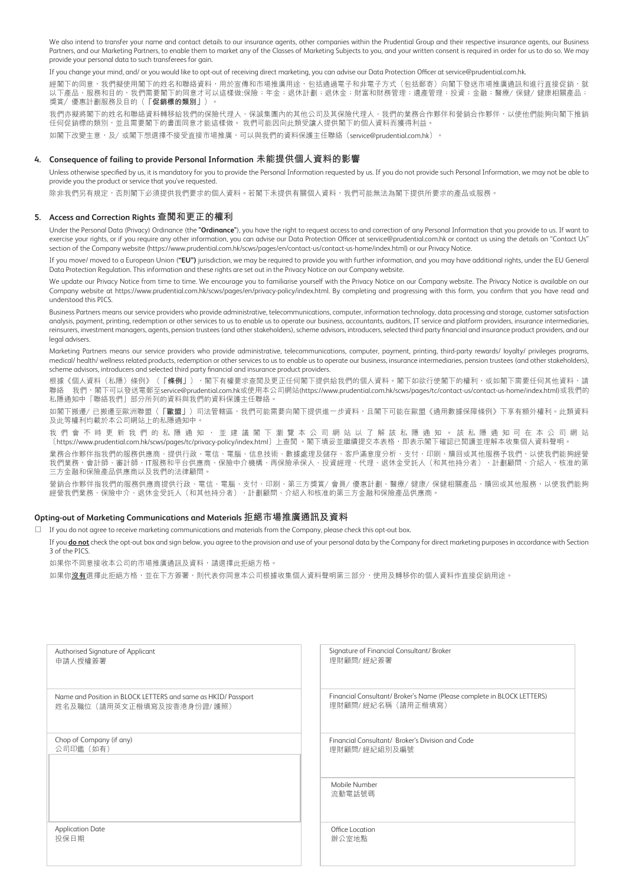We also intend to transfer your name and contact details to our insurance agents, other companies within the Prudential Group and their respective insurance agents, our Business Partners, and our Marketing Partners, to enable them to market any of the Classes of Marketing Subjects to you, and your written consent is required in order for us to do so. We may provide your personal data to such transferees for gain.

If you change your mind, and/ or you would like to opt-out of receiving direct marketing, you can advise our Data Protection Officer at service@prudential.com.hk.

經閣下的同意,我們擬使用閣下的姓名和聯絡資料,用於宣傳和市場推廣用途,包括通過電子和非電子方式(包括郵寄)向閣下發送市場推廣通訊和進行直接促銷,就 以下產品、服務和目的,我們需要閣下的同意才可以這樣做:保險;年金;退休計劃;退休金;財富和財務管理;遺產管理;投資;金融;醫療/保健/健康相關產品; 獎賞/優惠計劃服務及目的(**「促銷標的類別」**)。

我們亦擬將閣下的姓名和聯絡資料轉移給我們的保險代理人、保誠集團內的其他公司及其保險代理人、我們的業務合作夥伴和營銷合作夥伴,以使他們能夠向閣下推銷 任何促銷標的類別,並且需要閣下的書面同意才能這樣做。 我們可能因向此類受讓人提供閣下的個人資料而獲得利益。

如閣下改變主意,及/或閣下想選擇不接受直接市場推廣,可以與我們的資料保護主任聯絡 (service@prudential.com.hk)。

#### **4. Consequence of failing to provide Personal Information 未能提供個人資料的影響**

Unless otherwise specified by us, it is mandatory for you to provide the Personal Information requested by us. If you do not provide such Personal Information, we may not be able to provide you the product or service that you've requested.

除非我們另有規定,否則閣下必須提供我們要求的個人資料。若閣下未提供有關個人資料,我們可能無法為閣下提供所要求的產品或服務。

#### **5. Access and Correction Rights 查閱和更正的權利**

Under the Personal Data (Privacy) Ordinance (the **"Ordinance"**), you have the right to request access to and correction of any Personal Information that you provide to us. If want to exercise your rights, or if you require any other information, you can advise our Data Protection Officer at service@prudential.com.hk or contact us using the details on "Contact Us" section of the Company website (https://www.prudential.com.hk/scws/pages/en/contact-us/contact-us-home/index.html) or our Privacy Notice.

If you move/ moved to a European Union (**"EU")** jurisdiction, we may be required to provide you with further information, and you may have additional rights, under the EU General Data Protection Regulation. This information and these rights are set out in the Privacy Notice on our Company website.

We update our Privacy Notice from time to time. We encourage you to familiarise yourself with the Privacy Notice on our Company website. The Privacy Notice is available on our Company website at https://www.prudential.com.hk/scws/pages/en/privacy-policy/index.html. By completing and progressing with this form, you confirm that you have read and understood this PICS.

Business Partners means our service providers who provide administrative, telecommunications, computer, information technology, data processing and storage, customer satisfaction analysis, payment, printing, redemption or other services to us to enable us to operate our business, accountants, auditors, IT service and platform providers, insurance intermediaries, reinsurers, investment managers, agents, pension trustees (and other stakeholders), scheme advisors, introducers, selected third party financial and insurance product providers, and our legal advisers.

Marketing Partners means our service providers who provide administrative, telecommunications, computer, payment, printing, third-party rewards/ loyalty/ privileges programs, medical/ health/ wellness related products, redemption or other services to us to enable us to operate our business, insurance intermediaries, pension trustees (and other stakeholders), scheme advisors, introducers and selected third party financial and insurance product providers.

根據《個人資料(私隱)條例》(**「條例」**),閣下有權要求查閲及更正任何閣下提供給我們的個人資料。閣下如欲行使閣下的權利,或如閣下需要任何其他資料,請 聯絡 我們,閣下可以發送電郵至service@prudential.com.hk或使用本公司網站(https://www.prudential.com.hk/scws/pages/tc/contact-us/contact-us-home/index.html)或我們的 私隱通知中「聯絡我們」部分所列的資料與我們的資料保護主任聯絡。

如閣下搬遷/已搬遷至歐洲聯盟(**「歐盟」**)司法管轄區,我們可能需要向閣下提供進一步資料,且閣下可能在歐盟《通用數據保障條例》下享有額外權利。此類資料 及此等權利均載於本公司網站上的私隱通知中。

我 們 會 不 時 更 新 我 們 的 私 隱 通 知 , 並 建 議 閣 下 瀏 覽 本 公 司 網 站 以 了 解 該 私 隱 通 知 。 該 私 隱 通 知 可 在 本 公 司 網 站 〔https://www.prudential.com.hk/scws/pages/tc/privacy-policy/index.html〕上查閱 。閣下填妥並繼續提交本表格,即表示閣下確認已閱讀並理解本收集個人資料聲明。

業務合作夥伴指我們的服務供應商、提供行政、電信、電腦、信息技術、數據處理及儲存、客戶滿意度分析、支付、印刷、贖回或其他服務予我們,以使我們能夠經營 我們業務,會計師、審計師、IT服務和平台供應商、保險中介機構、再保險承保人、投資經理、代理、退休金受託人(和其他持分者)、計劃顧問、介紹人、核准的第 三方金融和保險產品供應商以及我們的法律顧問。

營銷合作夥伴指我們的服務供應商提供行政、電信、電腦、支付、印刷、第三方獎賞/會員/優惠計劃、醫療/健康/保健相關產品、贖回或其他服務,以使我們能夠 經營我們業務、保險中介、退休金受託人(和其他持分者)、計劃顧問、介紹人和核准的第三方金融和保險產品供應商。

#### **Opting-out of Marketing Communications and Materials 拒絕市場推廣通訊及資料**

 $\Box$  If you do not agree to receive marketing communications and materials from the Company, please check this opt-out box.

If you **do not** check the opt-out box and sign below, you agree to the provision and use of your personal data by the Company for direct marketing purposes in accordance with Section 3 of the PICS.

如果你不同意接收本公司的市場推廣通訊及資料,請選擇此拒絕方格。

如果你**沒有**選擇此拒絕方格,並在下方簽署,則代表你同意本公司根據收集個人資料聲明第三部分,使用及轉移你的個人資料作直接促銷用途。

| Authorised Signature of Applicant                             | Signature of Financial Consultant/ Broker                              |
|---------------------------------------------------------------|------------------------------------------------------------------------|
| 申請人授權簽署                                                       | 理財顧問/ 經紀簽署                                                             |
| Name and Position in BLOCK LETTERS and same as HKID/ Passport | Financial Consultant/ Broker's Name (Please complete in BLOCK LETTERS) |
| 姓名及職位 (請用英文正楷填寫及按香港身份證/護照)                                    | 理財顧問/ 經紀名稱 (請用正楷填寫)                                                    |
| Chop of Company (if any)                                      | Financial Consultant/ Broker's Division and Code                       |
| 公司印鑑 (如有)                                                     | 理財顧問/ 經紀組別及編號                                                          |
|                                                               | Mobile Number<br>流動電話號碼                                                |
| <b>Application Date</b>                                       | Office Location                                                        |
| 投保日期                                                          | 辦公室地點                                                                  |